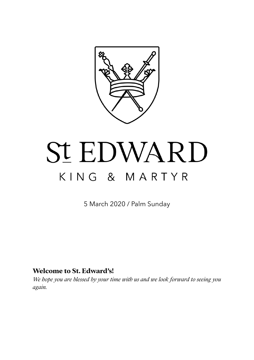

# St EDWARD KING & MARTYR

5 March 2020 / Palm Sunday

# **Welcome to St. Edward's!**

*We hope you are blessed by your time with us and we look forward to seeing you again.*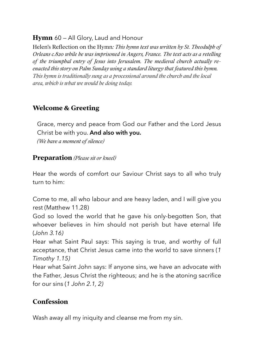## **Hymn** 60 — All Glory, Laud and Honour

Helen's Reflection on the Hymn*: This hymn text was written by St. Theodulph of Orleans c.820 while he was imprisoned in Angers, France. The text acts as a retelling of the triumphal entry of Jesus into Jerusalem. The medieval church actually reenacted this story on Palm Sunday using a standard liturgy that featured this hymn. This hymn is traditionally sung as a processional around the church and the local area, which is what we would be doing today.* 

# **Welcome & Greeting**

Grace, mercy and peace from God our Father and the Lord Jesus Christ be with you. **And also with you.**

*(We have a moment of silence)* 

#### **Preparation** *(Please sit or kneel)*

Hear the words of comfort our Saviour Christ says to all who truly turn to him:

Come to me, all who labour and are heavy laden, and I will give you rest (Matthew 11.28)

God so loved the world that he gave his only-begotten Son, that whoever believes in him should not perish but have eternal life (*John 3.16)* 

Hear what Saint Paul says: This saying is true, and worthy of full acceptance, that Christ Jesus came into the world to save sinners (*1 Timothy 1.15)* 

Hear what Saint John says: If anyone sins, we have an advocate with the Father, Jesus Christ the righteous; and he is the atoning sacrifice for our sins (*1 John 2.1, 2)* 

# **Confession**

Wash away all my iniquity and cleanse me from my sin.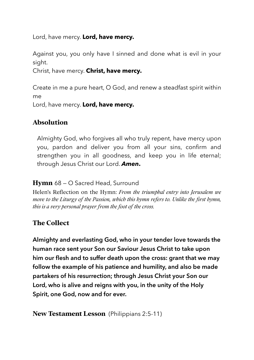Lord, have mercy. **Lord, have mercy.** 

Against you, you only have I sinned and done what is evil in your sight.

Christ, have mercy. **Christ, have mercy.** 

Create in me a pure heart, O God, and renew a steadfast spirit within me

Lord, have mercy. **Lord, have mercy.** 

# **Absolution**

Almighty God, who forgives all who truly repent, have mercy upon you, pardon and deliver you from all your sins, confirm and strengthen you in all goodness, and keep you in life eternal; through Jesus Christ our Lord. *Amen***.**

## **Hymn** 68 – O Sacred Head, Surround

Helen's Reflection on the Hymn: *From the triumphal entry into Jerusalem we move to the Liturgy of the Passion, which this hymn refers to. Unlike the first hymn, this is a very personal prayer from the foot of the cross.* 

# **The Collect**

**Almighty and everlasting God, who in your tender love towards the human race sent your Son our Saviour Jesus Christ to take upon him our flesh and to suffer death upon the cross: grant that we may follow the example of his patience and humility, and also be made partakers of his resurrection; through Jesus Christ your Son our Lord, who is alive and reigns with you, in the unity of the Holy Spirit, one God, now and for ever.** 

**New Testament Lesson** (Philippians 2:5-11)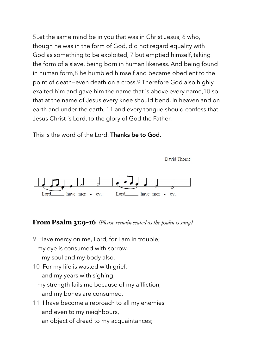5Let the same mind be in you that was in Christ Jesus, 6 who, though he was in the form of God, did not regard equality with God as something to be exploited, 7 but emptied himself, taking the form of a slave, being born in human likeness. And being found in human form,8 he humbled himself and became obedient to the point of death—even death on a cross.9 Therefore God also highly exalted him and gave him the name that is above every name,10 so that at the name of Jesus every knee should bend, in heaven and on earth and under the earth, 11 and every tongue should confess that Jesus Christ is Lord, to the glory of God the Father.

This is the word of the Lord. **Thanks be to God.**

David Thome



#### **From Psalm 31:9-16** *(Please remain seated as the psalm is sung)*

- 9 Have mercy on me, Lord, for I am in trouble; my eye is consumed with sorrow, my soul and my body also.
- 10 For my life is wasted with grief, and my years with sighing; my strength fails me because of my affliction, and my bones are consumed.
- 11 I have become a reproach to all my enemies and even to my neighbours, an object of dread to my acquaintances;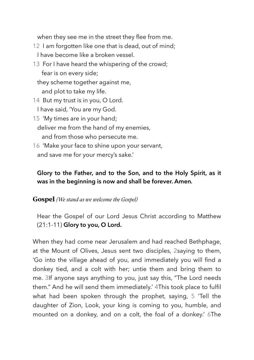when they see me in the street they flee from me.

- 12 I am forgotten like one that is dead, out of mind; I have become like a broken vessel.
- 13 For I have heard the whispering of the crowd; fear is on every side;

they scheme together against me,

and plot to take my life.

14 But my trust is in you, O Lord. I have said, 'You are my God.

- 15 'My times are in your hand; deliver me from the hand of my enemies, and from those who persecute me.
- 16 'Make your face to shine upon your servant, and save me for your mercy's sake.'

# **Glory to the Father, and to the Son, and to the Holy Spirit, as it was in the beginning is now and shall be forever. Amen***.*

#### **Gospel** *(We stand as we welcome the Gospel)*

Hear the Gospel of our Lord Jesus Christ according to Matthew (21:1-11) **Glory to you, O Lord.** 

When they had come near Jerusalem and had reached Bethphage, at the Mount of Olives, Jesus sent two disciples, 2saying to them, 'Go into the village ahead of you, and immediately you will find a donkey tied, and a colt with her; untie them and bring them to me. 3If anyone says anything to you, just say this, "The Lord needs them." And he will send them immediately.' 4This took place to fulfil what had been spoken through the prophet, saying, 5 'Tell the daughter of Zion, Look, your king is coming to you, humble, and mounted on a donkey, and on a colt, the foal of a donkey.' 6The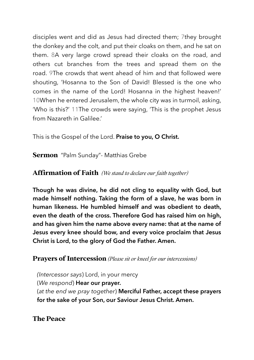disciples went and did as Jesus had directed them; 7they brought the donkey and the colt, and put their cloaks on them, and he sat on them. 8A very large crowd spread their cloaks on the road, and others cut branches from the trees and spread them on the road. 9The crowds that went ahead of him and that followed were shouting, 'Hosanna to the Son of David! Blessed is the one who comes in the name of the Lord! Hosanna in the highest heaven!' 10When he entered Jerusalem, the whole city was in turmoil, asking, 'Who is this?' 11The crowds were saying, 'This is the prophet Jesus from Nazareth in Galilee.'

This is the Gospel of the Lord. **Praise to you, O Christ.**

**Sermon** "Palm Sunday"- Matthias Grebe

# **Afrmation of Faith** *(We stand to declare our faith together)*

**Though he was divine, he did not cling to equality with God, but made himself nothing. Taking the form of a slave, he was born in human likeness. He humbled himself and was obedient to death, even the death of the cross. Therefore God has raised him on high, and has given him the name above every name: that at the name of Jesus every knee should bow, and every voice proclaim that Jesus Christ is Lord, to the glory of God the Father. Amen.** 

#### **Prayers of Intercession** *(Please sit or kneel for our intercessions)*

*(Intercessor says*) Lord, in your mercy (*We respond*) **Hear our prayer.** (*at the end we pray together*) **Merciful Father, accept these prayers for the sake of your Son, our Saviour Jesus Christ. Amen.**

**The Peace**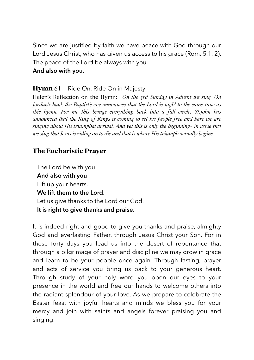Since we are justified by faith we have peace with God through our Lord Jesus Christ, who has given us access to his grace (Rom. 5.1, 2). The peace of the Lord be always with you.

#### **And also with you.**

#### **Hymn** 61 — Ride On, Ride On in Majesty

Helen's Reflection on the Hymn: *On the 3rd Sunday in Advent we sing 'On Jordan's bank the Baptist's cry announces that the Lord is nigh' to the same tune as this hymn. For me this brings everything back into a full circle. St.John has announced that the King of Kings is coming to set his people free and here we are singing about His triumphal arrival. And yet this is only the beginning- in verse two we sing that Jesus is riding on to die and that is where His triumph actually begins.* 

# **The Eucharistic Prayer**

The Lord be with you **And also with you**  Lift up your hearts. **We lift them to the Lord.**  Let us give thanks to the Lord our God. **It is right to give thanks and praise.** 

It is indeed right and good to give you thanks and praise, almighty God and everlasting Father, through Jesus Christ your Son. For in these forty days you lead us into the desert of repentance that through a pilgrimage of prayer and discipline we may grow in grace and learn to be your people once again. Through fasting, prayer and acts of service you bring us back to your generous heart. Through study of your holy word you open our eyes to your presence in the world and free our hands to welcome others into the radiant splendour of your love. As we prepare to celebrate the Easter feast with joyful hearts and minds we bless you for your mercy and join with saints and angels forever praising you and singing: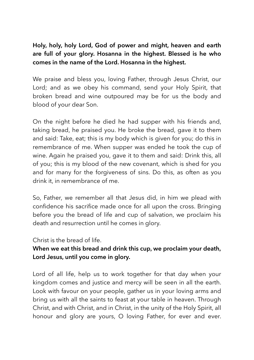**Holy, holy, holy Lord, God of power and might, heaven and earth are full of your glory. Hosanna in the highest. Blessed is he who comes in the name of the Lord. Hosanna in the highest.** 

We praise and bless you, loving Father, through Jesus Christ, our Lord; and as we obey his command, send your Holy Spirit, that broken bread and wine outpoured may be for us the body and blood of your dear Son.

On the night before he died he had supper with his friends and, taking bread, he praised you. He broke the bread, gave it to them and said: Take, eat; this is my body which is given for you; do this in remembrance of me. When supper was ended he took the cup of wine. Again he praised you, gave it to them and said: Drink this, all of you; this is my blood of the new covenant, which is shed for you and for many for the forgiveness of sins. Do this, as often as you drink it, in remembrance of me.

So, Father, we remember all that Jesus did, in him we plead with confidence his sacrifice made once for all upon the cross. Bringing before you the bread of life and cup of salvation, we proclaim his death and resurrection until he comes in glory.

Christ is the bread of life.

# **When we eat this bread and drink this cup, we proclaim your death, Lord Jesus, until you come in glory.**

Lord of all life, help us to work together for that day when your kingdom comes and justice and mercy will be seen in all the earth. Look with favour on your people, gather us in your loving arms and bring us with all the saints to feast at your table in heaven. Through Christ, and with Christ, and in Christ, in the unity of the Holy Spirit, all honour and glory are yours, O loving Father, for ever and ever.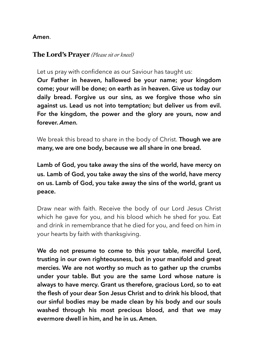#### **Amen**.

#### **The Lord's Prayer** *(Please sit or kneel)*

Let us pray with confidence as our Saviour has taught us:

**Our Father in heaven, hallowed be your name; your kingdom come; your will be done; on earth as in heaven. Give us today our daily bread. Forgive us our sins, as we forgive those who sin against us. Lead us not into temptation; but deliver us from evil. For the kingdom, the power and the glory are yours, now and forever.** *Amen.*

We break this bread to share in the body of Christ. **Though we are many, we are one body, because we all share in one bread.**

**Lamb of God, you take away the sins of the world, have mercy on us. Lamb of God, you take away the sins of the world, have mercy on us. Lamb of God, you take away the sins of the world, grant us peace.**

Draw near with faith. Receive the body of our Lord Jesus Christ which he gave for you, and his blood which he shed for you. Eat and drink in remembrance that he died for you, and feed on him in your hearts by faith with thanksgiving.

**We do not presume to come to this your table, merciful Lord, trusting in our own righteousness, but in your manifold and great mercies. We are not worthy so much as to gather up the crumbs under your table. But you are the same Lord whose nature is always to have mercy. Grant us therefore, gracious Lord, so to eat the flesh of your dear Son Jesus Christ and to drink his blood, that our sinful bodies may be made clean by his body and our souls washed through his most precious blood, and that we may evermore dwell in him, and he in us. Amen***.*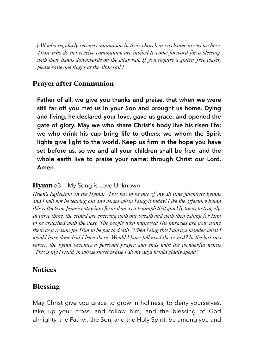*(All who regularly receive communion in their church are welcome to receive here. Those who do not receive communion are invited to come forward for a blessing,*  with their hands downwards on the altar rail. If you require a gluten-free wafer, *please raise one finger at the altar rail.)* 

## **Prayer after Communion**

**Father of all, we give you thanks and praise, that when we were still far off you met us in your Son and brought us home. Dying and living, he declared your love, gave us grace, and opened the gate of glory. May we who share Christ's body live his risen life; we who drink his cup bring life to others; we whom the Spirit lights give light to the world. Keep us firm in the hope you have set before us, so we and all your children shall be free, and the whole earth live to praise your name; through Christ our Lord. Amen***.* 

#### **Hymn** 63 — My Song is Love Unknown

*Helen's Reflection on the Hymn: This has to be one of my all time favourite hymns and I will not be leaving out any verses when I sing it today! Like the ofertory hymn this reflects on Jesus's entry into Jerusalem as a triumph that quickly turns to tragedy. In verse three, the crowd are cheering with one breath and with then calling for Him to be crucified with the next. The people who witnessed His miracles are now using them as a reason for Him to be put to death. When I sing this I always wonder what I would have done had I been there. Would I have followed the crowd? In the last two verses, the hymn becomes a personal prayer and ends with the wonderful words "This is my Friend, in whose sweet praise I all my days would gladly spend."* 

#### **Notices**

## **Blessing**

May Christ give you grace to grow in holiness, to deny yourselves, take up your cross, and follow him; and the blessing of God almighty, the Father, the Son, and the Holy Spirit, be among you and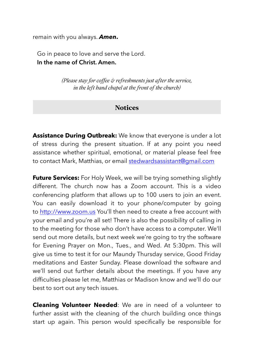remain with you always. *Amen***.**

Go in peace to love and serve the Lord. **In the name of Christ. Amen.** 

> *(Please stay for cofee & refreshments just after the service, in the left hand chapel at the front of the church)*

#### **Notices**

**Assistance During Outbreak:** We know that everyone is under a lot of stress during the present situation. If at any point you need assistance whether spiritual, emotional, or material please feel free to contact Mark, Matthias, or email [stedwardsassistant@gmail.com](mailto:stedwardsassistant@gmail.com)

**Future Services:** For Holy Week, we will be trying something slightly different. The church now has a Zoom account. This is a video conferencing platform that allows up to 100 users to join an event. You can easily download it to your phone/computer by going to [http://www.zoom.us](http://www.zoom.us/) You'll then need to create a free account with your email and you're all set! There is also the possibility of calling in to the meeting for those who don't have access to a computer. We'll send out more details, but next week we're going to try the software for Evening Prayer on Mon., Tues., and Wed. At 5:30pm. This will give us time to test it for our Maundy Thursday service, Good Friday meditations and Easter Sunday. Please download the software and we'll send out further details about the meetings. If you have any difficulties please let me, Matthias or Madison know and we'll do our best to sort out any tech issues.

**Cleaning Volunteer Needed**: We are in need of a volunteer to further assist with the cleaning of the church building once things start up again. This person would specifically be responsible for